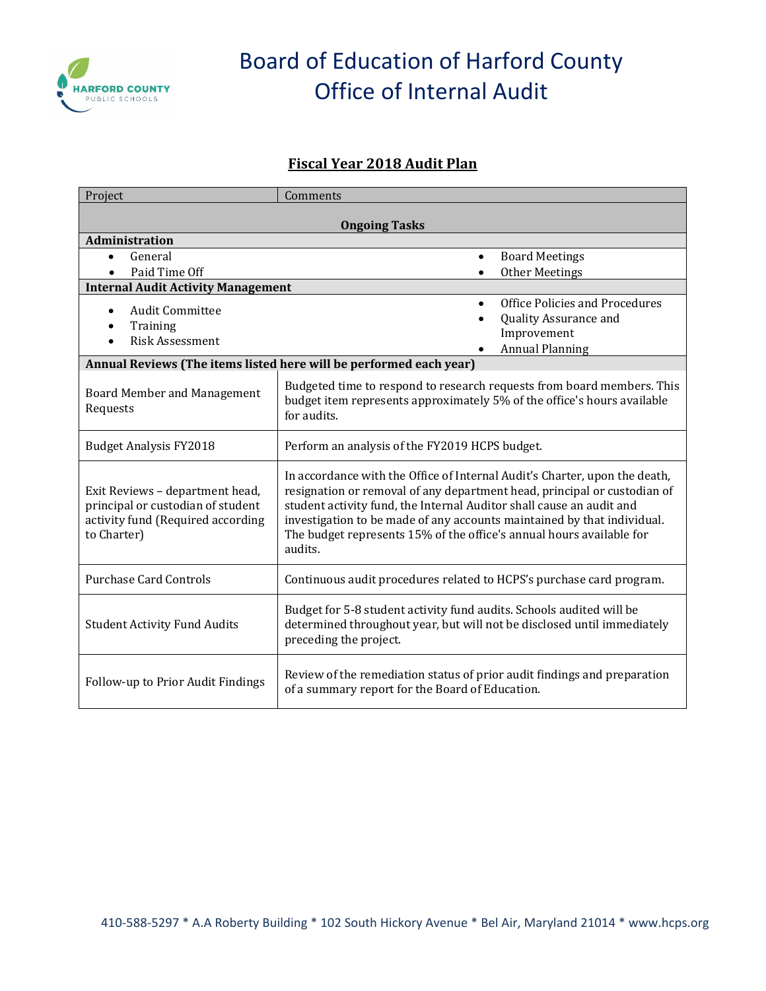

# Board of Education of Harford County Office of Internal Audit

#### **Fiscal Year 2018 Audit Plan**

| Project                                                                                                                  | Comments                                                                                                                                                                                                                                                                                                                                                                                     |  |
|--------------------------------------------------------------------------------------------------------------------------|----------------------------------------------------------------------------------------------------------------------------------------------------------------------------------------------------------------------------------------------------------------------------------------------------------------------------------------------------------------------------------------------|--|
| <b>Ongoing Tasks</b>                                                                                                     |                                                                                                                                                                                                                                                                                                                                                                                              |  |
| Administration                                                                                                           |                                                                                                                                                                                                                                                                                                                                                                                              |  |
| General<br>$\bullet$                                                                                                     | <b>Board Meetings</b><br>$\bullet$                                                                                                                                                                                                                                                                                                                                                           |  |
| Paid Time Off                                                                                                            | <b>Other Meetings</b><br>$\bullet$                                                                                                                                                                                                                                                                                                                                                           |  |
| <b>Internal Audit Activity Management</b>                                                                                |                                                                                                                                                                                                                                                                                                                                                                                              |  |
| <b>Audit Committee</b><br>$\bullet$                                                                                      | Office Policies and Procedures<br>$\bullet$                                                                                                                                                                                                                                                                                                                                                  |  |
| Training                                                                                                                 | Quality Assurance and<br>$\bullet$                                                                                                                                                                                                                                                                                                                                                           |  |
| <b>Risk Assessment</b>                                                                                                   | Improvement                                                                                                                                                                                                                                                                                                                                                                                  |  |
|                                                                                                                          | <b>Annual Planning</b>                                                                                                                                                                                                                                                                                                                                                                       |  |
|                                                                                                                          | Annual Reviews (The items listed here will be performed each year)                                                                                                                                                                                                                                                                                                                           |  |
| <b>Board Member and Management</b><br>Requests                                                                           | Budgeted time to respond to research requests from board members. This<br>budget item represents approximately 5% of the office's hours available<br>for audits.                                                                                                                                                                                                                             |  |
| <b>Budget Analysis FY2018</b>                                                                                            | Perform an analysis of the FY2019 HCPS budget.                                                                                                                                                                                                                                                                                                                                               |  |
| Exit Reviews - department head,<br>principal or custodian of student<br>activity fund (Required according<br>to Charter) | In accordance with the Office of Internal Audit's Charter, upon the death,<br>resignation or removal of any department head, principal or custodian of<br>student activity fund, the Internal Auditor shall cause an audit and<br>investigation to be made of any accounts maintained by that individual.<br>The budget represents 15% of the office's annual hours available for<br>audits. |  |
| <b>Purchase Card Controls</b>                                                                                            | Continuous audit procedures related to HCPS's purchase card program.                                                                                                                                                                                                                                                                                                                         |  |
| <b>Student Activity Fund Audits</b>                                                                                      | Budget for 5-8 student activity fund audits. Schools audited will be<br>determined throughout year, but will not be disclosed until immediately<br>preceding the project.                                                                                                                                                                                                                    |  |
| Follow-up to Prior Audit Findings                                                                                        | Review of the remediation status of prior audit findings and preparation<br>of a summary report for the Board of Education.                                                                                                                                                                                                                                                                  |  |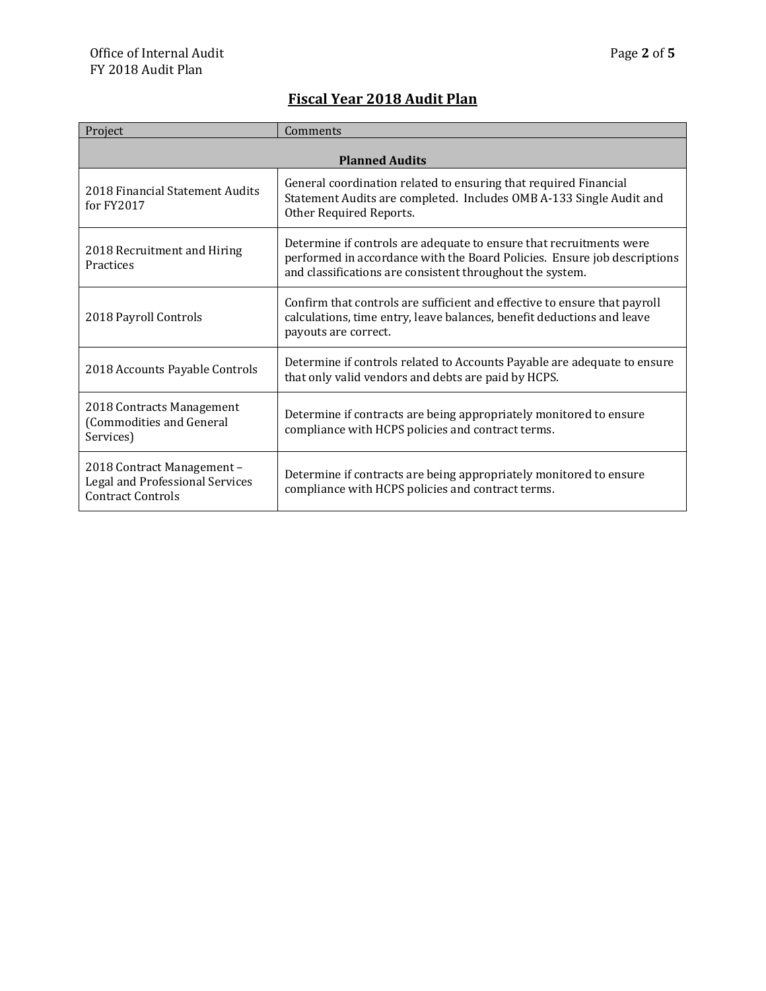### **Fiscal Year 2018 Audit Plan**

| Project                                                                                   | Comments                                                                                                                                                                                                     |  |
|-------------------------------------------------------------------------------------------|--------------------------------------------------------------------------------------------------------------------------------------------------------------------------------------------------------------|--|
| <b>Planned Audits</b>                                                                     |                                                                                                                                                                                                              |  |
| 2018 Financial Statement Audits<br>for $FY2017$                                           | General coordination related to ensuring that required Financial<br>Statement Audits are completed. Includes OMB A-133 Single Audit and<br>Other Required Reports.                                           |  |
| 2018 Recruitment and Hiring<br>Practices                                                  | Determine if controls are adequate to ensure that recruitments were<br>performed in accordance with the Board Policies. Ensure job descriptions<br>and classifications are consistent throughout the system. |  |
| 2018 Payroll Controls                                                                     | Confirm that controls are sufficient and effective to ensure that payroll<br>calculations, time entry, leave balances, benefit deductions and leave<br>payouts are correct.                                  |  |
| 2018 Accounts Payable Controls                                                            | Determine if controls related to Accounts Payable are adequate to ensure<br>that only valid vendors and debts are paid by HCPS.                                                                              |  |
| 2018 Contracts Management<br>(Commodities and General<br>Services)                        | Determine if contracts are being appropriately monitored to ensure<br>compliance with HCPS policies and contract terms.                                                                                      |  |
| 2018 Contract Management -<br>Legal and Professional Services<br><b>Contract Controls</b> | Determine if contracts are being appropriately monitored to ensure<br>compliance with HCPS policies and contract terms.                                                                                      |  |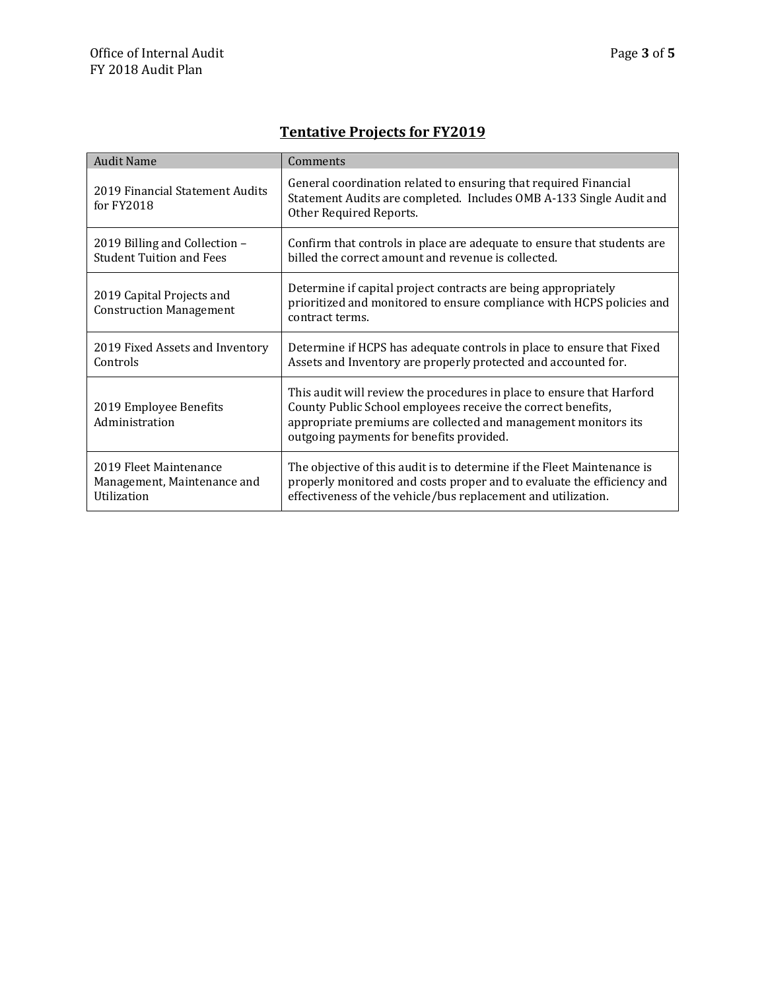# **Tentative Projects for FY2019**

| <b>Audit Name</b>                                                    | Comments                                                                                                                                                                                                                                            |
|----------------------------------------------------------------------|-----------------------------------------------------------------------------------------------------------------------------------------------------------------------------------------------------------------------------------------------------|
| 2019 Financial Statement Audits<br>for $FY2018$                      | General coordination related to ensuring that required Financial<br>Statement Audits are completed. Includes OMB A-133 Single Audit and<br>Other Required Reports.                                                                                  |
| 2019 Billing and Collection -<br><b>Student Tuition and Fees</b>     | Confirm that controls in place are adequate to ensure that students are<br>billed the correct amount and revenue is collected.                                                                                                                      |
| 2019 Capital Projects and<br><b>Construction Management</b>          | Determine if capital project contracts are being appropriately<br>prioritized and monitored to ensure compliance with HCPS policies and<br>contract terms.                                                                                          |
| 2019 Fixed Assets and Inventory<br>Controls                          | Determine if HCPS has adequate controls in place to ensure that Fixed<br>Assets and Inventory are properly protected and accounted for.                                                                                                             |
| 2019 Employee Benefits<br>Administration                             | This audit will review the procedures in place to ensure that Harford<br>County Public School employees receive the correct benefits,<br>appropriate premiums are collected and management monitors its<br>outgoing payments for benefits provided. |
| 2019 Fleet Maintenance<br>Management, Maintenance and<br>Utilization | The objective of this audit is to determine if the Fleet Maintenance is<br>properly monitored and costs proper and to evaluate the efficiency and<br>effectiveness of the vehicle/bus replacement and utilization.                                  |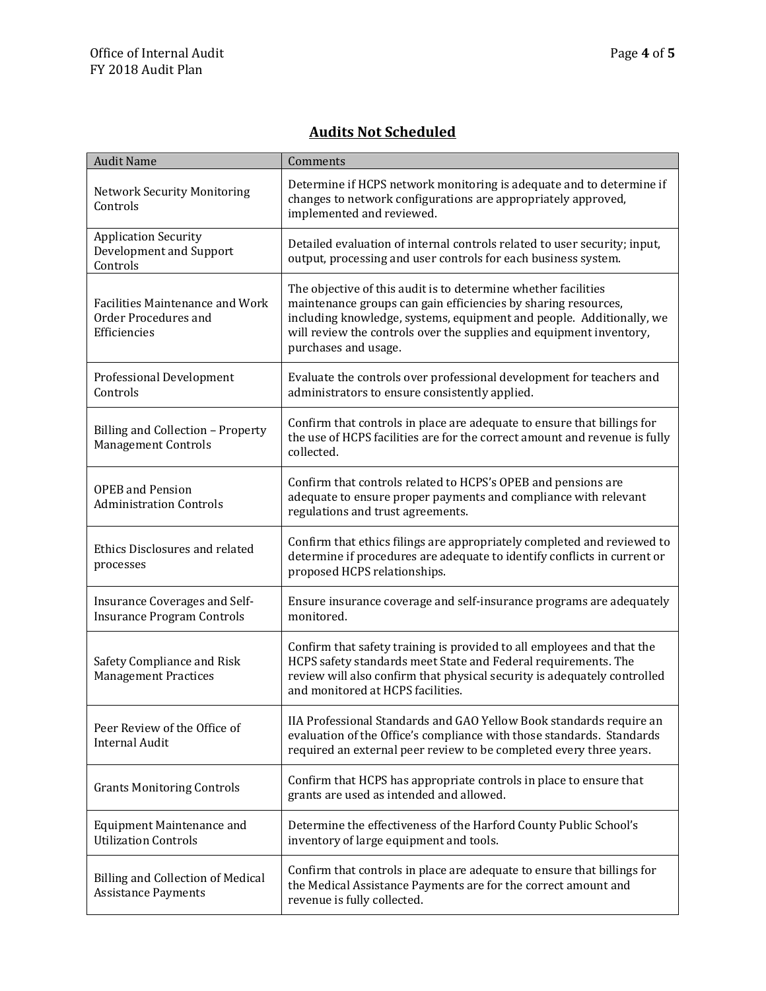### **Audits Not Scheduled**

| <b>Audit Name</b>                                                       | Comments                                                                                                                                                                                                                                                                                                |
|-------------------------------------------------------------------------|---------------------------------------------------------------------------------------------------------------------------------------------------------------------------------------------------------------------------------------------------------------------------------------------------------|
| <b>Network Security Monitoring</b><br>Controls                          | Determine if HCPS network monitoring is adequate and to determine if<br>changes to network configurations are appropriately approved,<br>implemented and reviewed.                                                                                                                                      |
| <b>Application Security</b><br>Development and Support<br>Controls      | Detailed evaluation of internal controls related to user security; input,<br>output, processing and user controls for each business system.                                                                                                                                                             |
| Facilities Maintenance and Work<br>Order Procedures and<br>Efficiencies | The objective of this audit is to determine whether facilities<br>maintenance groups can gain efficiencies by sharing resources,<br>including knowledge, systems, equipment and people. Additionally, we<br>will review the controls over the supplies and equipment inventory,<br>purchases and usage. |
| <b>Professional Development</b><br>Controls                             | Evaluate the controls over professional development for teachers and<br>administrators to ensure consistently applied.                                                                                                                                                                                  |
| Billing and Collection - Property<br><b>Management Controls</b>         | Confirm that controls in place are adequate to ensure that billings for<br>the use of HCPS facilities are for the correct amount and revenue is fully<br>collected.                                                                                                                                     |
| <b>OPEB</b> and Pension<br><b>Administration Controls</b>               | Confirm that controls related to HCPS's OPEB and pensions are<br>adequate to ensure proper payments and compliance with relevant<br>regulations and trust agreements.                                                                                                                                   |
| Ethics Disclosures and related<br>processes                             | Confirm that ethics filings are appropriately completed and reviewed to<br>determine if procedures are adequate to identify conflicts in current or<br>proposed HCPS relationships.                                                                                                                     |
| Insurance Coverages and Self-<br><b>Insurance Program Controls</b>      | Ensure insurance coverage and self-insurance programs are adequately<br>monitored.                                                                                                                                                                                                                      |
| Safety Compliance and Risk<br><b>Management Practices</b>               | Confirm that safety training is provided to all employees and that the<br>HCPS safety standards meet State and Federal requirements. The<br>review will also confirm that physical security is adequately controlled<br>and monitored at HCPS facilities.                                               |
| Peer Review of the Office of<br><b>Internal Audit</b>                   | IIA Professional Standards and GAO Yellow Book standards require an<br>evaluation of the Office's compliance with those standards. Standards<br>required an external peer review to be completed every three years.                                                                                     |
| <b>Grants Monitoring Controls</b>                                       | Confirm that HCPS has appropriate controls in place to ensure that<br>grants are used as intended and allowed.                                                                                                                                                                                          |
| Equipment Maintenance and<br><b>Utilization Controls</b>                | Determine the effectiveness of the Harford County Public School's<br>inventory of large equipment and tools.                                                                                                                                                                                            |
| <b>Billing and Collection of Medical</b><br><b>Assistance Payments</b>  | Confirm that controls in place are adequate to ensure that billings for<br>the Medical Assistance Payments are for the correct amount and<br>revenue is fully collected.                                                                                                                                |